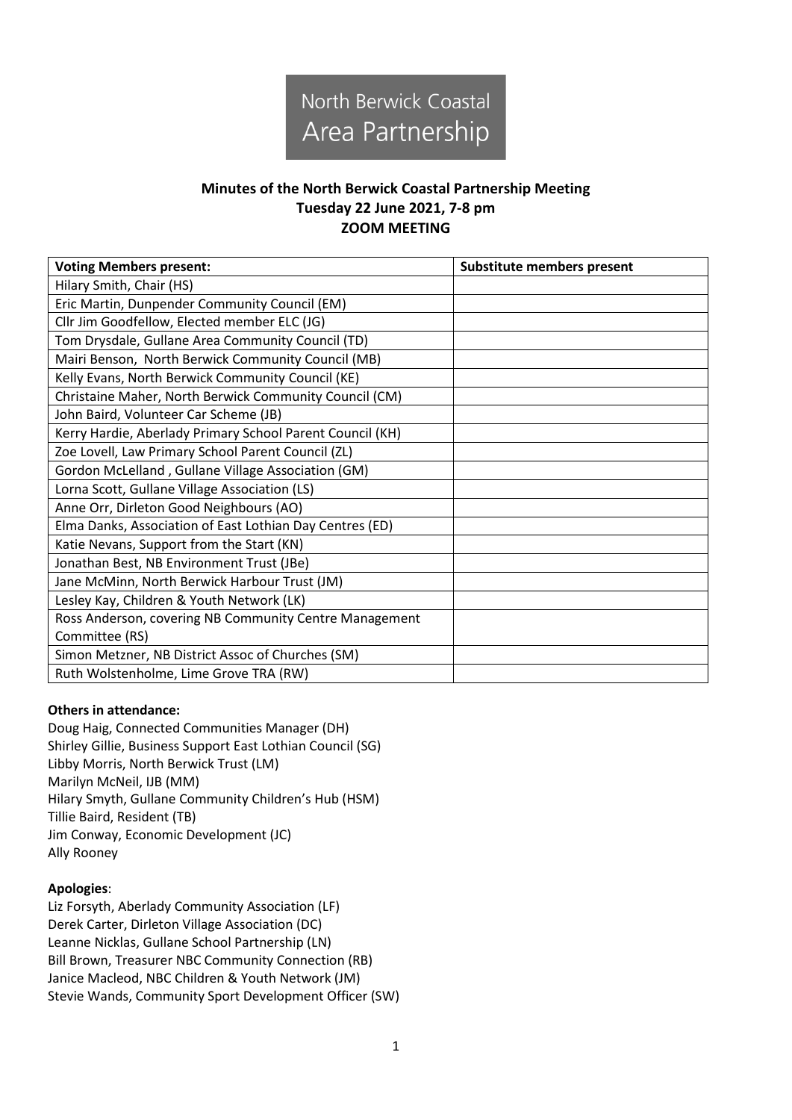

## **Minutes of the North Berwick Coastal Partnership Meeting Tuesday 22 June 2021, 7-8 pm ZOOM MEETING**

| <b>Voting Members present:</b>                            | <b>Substitute members present</b> |
|-----------------------------------------------------------|-----------------------------------|
| Hilary Smith, Chair (HS)                                  |                                   |
| Eric Martin, Dunpender Community Council (EM)             |                                   |
| Cllr Jim Goodfellow, Elected member ELC (JG)              |                                   |
| Tom Drysdale, Gullane Area Community Council (TD)         |                                   |
| Mairi Benson, North Berwick Community Council (MB)        |                                   |
| Kelly Evans, North Berwick Community Council (KE)         |                                   |
| Christaine Maher, North Berwick Community Council (CM)    |                                   |
| John Baird, Volunteer Car Scheme (JB)                     |                                   |
| Kerry Hardie, Aberlady Primary School Parent Council (KH) |                                   |
| Zoe Lovell, Law Primary School Parent Council (ZL)        |                                   |
| Gordon McLelland, Gullane Village Association (GM)        |                                   |
| Lorna Scott, Gullane Village Association (LS)             |                                   |
| Anne Orr, Dirleton Good Neighbours (AO)                   |                                   |
| Elma Danks, Association of East Lothian Day Centres (ED)  |                                   |
| Katie Nevans, Support from the Start (KN)                 |                                   |
| Jonathan Best, NB Environment Trust (JBe)                 |                                   |
| Jane McMinn, North Berwick Harbour Trust (JM)             |                                   |
| Lesley Kay, Children & Youth Network (LK)                 |                                   |
| Ross Anderson, covering NB Community Centre Management    |                                   |
| Committee (RS)                                            |                                   |
| Simon Metzner, NB District Assoc of Churches (SM)         |                                   |
| Ruth Wolstenholme, Lime Grove TRA (RW)                    |                                   |

## **Others in attendance:**

Doug Haig, Connected Communities Manager (DH) Shirley Gillie, Business Support East Lothian Council (SG) Libby Morris, North Berwick Trust (LM) Marilyn McNeil, IJB (MM) Hilary Smyth, Gullane Community Children's Hub (HSM) Tillie Baird, Resident (TB) Jim Conway, Economic Development (JC) Ally Rooney

## **Apologies**:

Liz Forsyth, Aberlady Community Association (LF) Derek Carter, Dirleton Village Association (DC) Leanne Nicklas, Gullane School Partnership (LN) Bill Brown, Treasurer NBC Community Connection (RB) Janice Macleod, NBC Children & Youth Network (JM) Stevie Wands, Community Sport Development Officer (SW)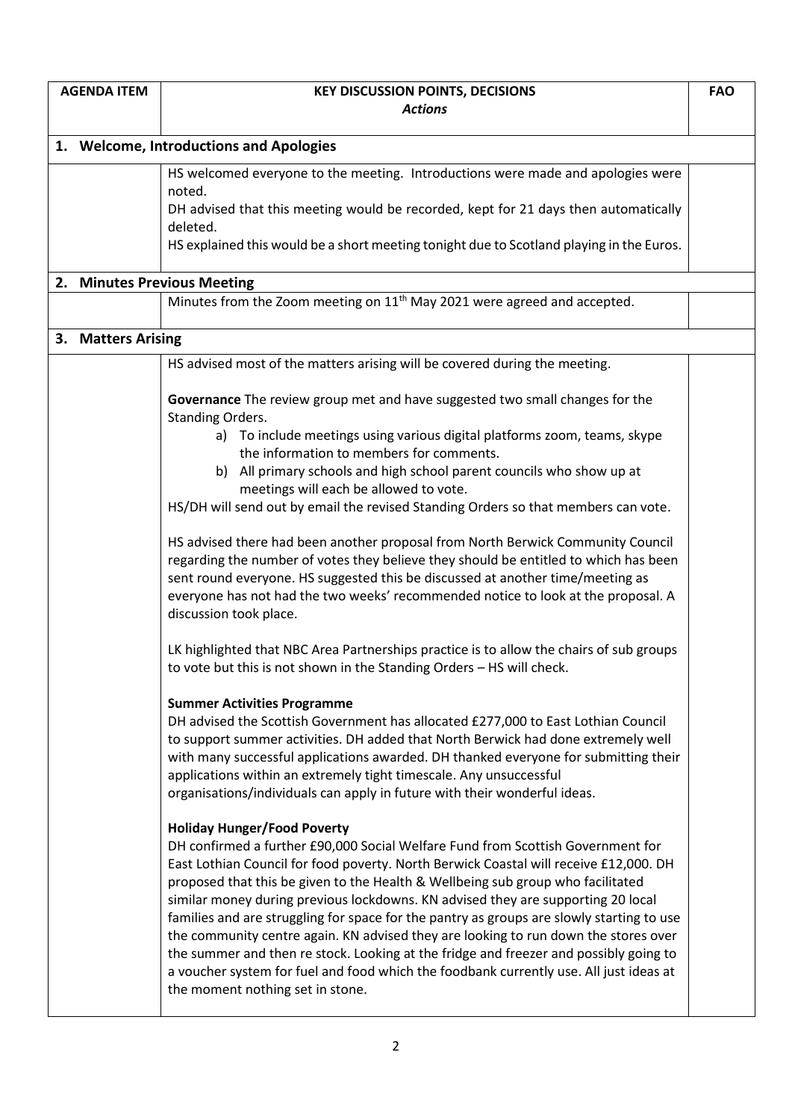| <b>AGENDA ITEM</b> |                    | <b>KEY DISCUSSION POINTS, DECISIONS</b>                                                                                                                                                                                                                                                                                                                                                                                                                                                                                                                                                                                                                                                                                                                                                          |  |
|--------------------|--------------------|--------------------------------------------------------------------------------------------------------------------------------------------------------------------------------------------------------------------------------------------------------------------------------------------------------------------------------------------------------------------------------------------------------------------------------------------------------------------------------------------------------------------------------------------------------------------------------------------------------------------------------------------------------------------------------------------------------------------------------------------------------------------------------------------------|--|
|                    |                    | <b>Actions</b>                                                                                                                                                                                                                                                                                                                                                                                                                                                                                                                                                                                                                                                                                                                                                                                   |  |
|                    |                    |                                                                                                                                                                                                                                                                                                                                                                                                                                                                                                                                                                                                                                                                                                                                                                                                  |  |
|                    |                    | 1. Welcome, Introductions and Apologies                                                                                                                                                                                                                                                                                                                                                                                                                                                                                                                                                                                                                                                                                                                                                          |  |
|                    |                    | HS welcomed everyone to the meeting. Introductions were made and apologies were<br>noted.                                                                                                                                                                                                                                                                                                                                                                                                                                                                                                                                                                                                                                                                                                        |  |
|                    |                    | DH advised that this meeting would be recorded, kept for 21 days then automatically<br>deleted.                                                                                                                                                                                                                                                                                                                                                                                                                                                                                                                                                                                                                                                                                                  |  |
|                    |                    | HS explained this would be a short meeting tonight due to Scotland playing in the Euros.                                                                                                                                                                                                                                                                                                                                                                                                                                                                                                                                                                                                                                                                                                         |  |
|                    |                    | 2. Minutes Previous Meeting                                                                                                                                                                                                                                                                                                                                                                                                                                                                                                                                                                                                                                                                                                                                                                      |  |
|                    |                    | Minutes from the Zoom meeting on 11 <sup>th</sup> May 2021 were agreed and accepted.                                                                                                                                                                                                                                                                                                                                                                                                                                                                                                                                                                                                                                                                                                             |  |
|                    | 3. Matters Arising |                                                                                                                                                                                                                                                                                                                                                                                                                                                                                                                                                                                                                                                                                                                                                                                                  |  |
|                    |                    | HS advised most of the matters arising will be covered during the meeting.                                                                                                                                                                                                                                                                                                                                                                                                                                                                                                                                                                                                                                                                                                                       |  |
|                    |                    | Governance The review group met and have suggested two small changes for the<br>Standing Orders.                                                                                                                                                                                                                                                                                                                                                                                                                                                                                                                                                                                                                                                                                                 |  |
|                    |                    | a) To include meetings using various digital platforms zoom, teams, skype<br>the information to members for comments.                                                                                                                                                                                                                                                                                                                                                                                                                                                                                                                                                                                                                                                                            |  |
|                    |                    | b) All primary schools and high school parent councils who show up at                                                                                                                                                                                                                                                                                                                                                                                                                                                                                                                                                                                                                                                                                                                            |  |
|                    |                    | meetings will each be allowed to vote.<br>HS/DH will send out by email the revised Standing Orders so that members can vote.                                                                                                                                                                                                                                                                                                                                                                                                                                                                                                                                                                                                                                                                     |  |
|                    |                    |                                                                                                                                                                                                                                                                                                                                                                                                                                                                                                                                                                                                                                                                                                                                                                                                  |  |
|                    |                    | HS advised there had been another proposal from North Berwick Community Council<br>regarding the number of votes they believe they should be entitled to which has been<br>sent round everyone. HS suggested this be discussed at another time/meeting as<br>everyone has not had the two weeks' recommended notice to look at the proposal. A<br>discussion took place.                                                                                                                                                                                                                                                                                                                                                                                                                         |  |
|                    |                    | LK highlighted that NBC Area Partnerships practice is to allow the chairs of sub groups<br>to vote but this is not shown in the Standing Orders - HS will check.                                                                                                                                                                                                                                                                                                                                                                                                                                                                                                                                                                                                                                 |  |
|                    |                    | <b>Summer Activities Programme</b><br>DH advised the Scottish Government has allocated £277,000 to East Lothian Council<br>to support summer activities. DH added that North Berwick had done extremely well<br>with many successful applications awarded. DH thanked everyone for submitting their<br>applications within an extremely tight timescale. Any unsuccessful<br>organisations/individuals can apply in future with their wonderful ideas.                                                                                                                                                                                                                                                                                                                                           |  |
|                    |                    | <b>Holiday Hunger/Food Poverty</b><br>DH confirmed a further £90,000 Social Welfare Fund from Scottish Government for<br>East Lothian Council for food poverty. North Berwick Coastal will receive £12,000. DH<br>proposed that this be given to the Health & Wellbeing sub group who facilitated<br>similar money during previous lockdowns. KN advised they are supporting 20 local<br>families and are struggling for space for the pantry as groups are slowly starting to use<br>the community centre again. KN advised they are looking to run down the stores over<br>the summer and then re stock. Looking at the fridge and freezer and possibly going to<br>a voucher system for fuel and food which the foodbank currently use. All just ideas at<br>the moment nothing set in stone. |  |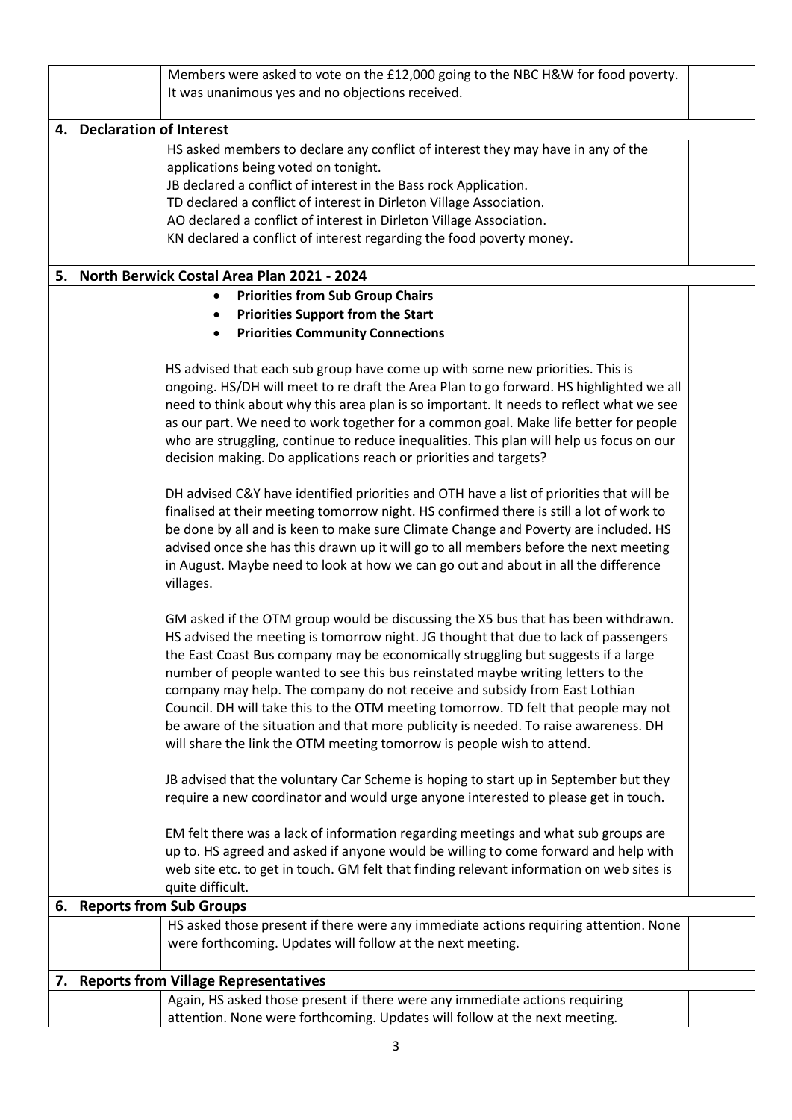|  |                                                                                   | Members were asked to vote on the £12,000 going to the NBC H&W for food poverty.         |  |  |  |  |
|--|-----------------------------------------------------------------------------------|------------------------------------------------------------------------------------------|--|--|--|--|
|  | It was unanimous yes and no objections received.                                  |                                                                                          |  |  |  |  |
|  |                                                                                   |                                                                                          |  |  |  |  |
|  |                                                                                   | 4. Declaration of Interest                                                               |  |  |  |  |
|  |                                                                                   | HS asked members to declare any conflict of interest they may have in any of the         |  |  |  |  |
|  |                                                                                   | applications being voted on tonight.                                                     |  |  |  |  |
|  |                                                                                   | JB declared a conflict of interest in the Bass rock Application.                         |  |  |  |  |
|  |                                                                                   | TD declared a conflict of interest in Dirleton Village Association.                      |  |  |  |  |
|  |                                                                                   | AO declared a conflict of interest in Dirleton Village Association.                      |  |  |  |  |
|  |                                                                                   | KN declared a conflict of interest regarding the food poverty money.                     |  |  |  |  |
|  |                                                                                   |                                                                                          |  |  |  |  |
|  |                                                                                   | 5. North Berwick Costal Area Plan 2021 - 2024                                            |  |  |  |  |
|  |                                                                                   | <b>Priorities from Sub Group Chairs</b>                                                  |  |  |  |  |
|  |                                                                                   | <b>Priorities Support from the Start</b>                                                 |  |  |  |  |
|  |                                                                                   | <b>Priorities Community Connections</b><br>$\bullet$                                     |  |  |  |  |
|  |                                                                                   |                                                                                          |  |  |  |  |
|  |                                                                                   | HS advised that each sub group have come up with some new priorities. This is            |  |  |  |  |
|  |                                                                                   | ongoing. HS/DH will meet to re draft the Area Plan to go forward. HS highlighted we all  |  |  |  |  |
|  |                                                                                   | need to think about why this area plan is so important. It needs to reflect what we see  |  |  |  |  |
|  |                                                                                   | as our part. We need to work together for a common goal. Make life better for people     |  |  |  |  |
|  |                                                                                   | who are struggling, continue to reduce inequalities. This plan will help us focus on our |  |  |  |  |
|  |                                                                                   | decision making. Do applications reach or priorities and targets?                        |  |  |  |  |
|  |                                                                                   |                                                                                          |  |  |  |  |
|  |                                                                                   | DH advised C&Y have identified priorities and OTH have a list of priorities that will be |  |  |  |  |
|  |                                                                                   | finalised at their meeting tomorrow night. HS confirmed there is still a lot of work to  |  |  |  |  |
|  |                                                                                   | be done by all and is keen to make sure Climate Change and Poverty are included. HS      |  |  |  |  |
|  |                                                                                   | advised once she has this drawn up it will go to all members before the next meeting     |  |  |  |  |
|  |                                                                                   | in August. Maybe need to look at how we can go out and about in all the difference       |  |  |  |  |
|  |                                                                                   | villages.                                                                                |  |  |  |  |
|  |                                                                                   |                                                                                          |  |  |  |  |
|  | GM asked if the OTM group would be discussing the X5 bus that has been withdrawn. |                                                                                          |  |  |  |  |
|  |                                                                                   | HS advised the meeting is tomorrow night. JG thought that due to lack of passengers      |  |  |  |  |
|  |                                                                                   | the East Coast Bus company may be economically struggling but suggests if a large        |  |  |  |  |
|  |                                                                                   | number of people wanted to see this bus reinstated maybe writing letters to the          |  |  |  |  |
|  |                                                                                   | company may help. The company do not receive and subsidy from East Lothian               |  |  |  |  |
|  |                                                                                   | Council. DH will take this to the OTM meeting tomorrow. TD felt that people may not      |  |  |  |  |
|  |                                                                                   | be aware of the situation and that more publicity is needed. To raise awareness. DH      |  |  |  |  |
|  |                                                                                   | will share the link the OTM meeting tomorrow is people wish to attend.                   |  |  |  |  |
|  |                                                                                   |                                                                                          |  |  |  |  |
|  |                                                                                   | JB advised that the voluntary Car Scheme is hoping to start up in September but they     |  |  |  |  |
|  |                                                                                   | require a new coordinator and would urge anyone interested to please get in touch.       |  |  |  |  |
|  |                                                                                   | EM felt there was a lack of information regarding meetings and what sub groups are       |  |  |  |  |
|  |                                                                                   | up to. HS agreed and asked if anyone would be willing to come forward and help with      |  |  |  |  |
|  |                                                                                   | web site etc. to get in touch. GM felt that finding relevant information on web sites is |  |  |  |  |
|  |                                                                                   | quite difficult.                                                                         |  |  |  |  |
|  |                                                                                   | 6. Reports from Sub Groups                                                               |  |  |  |  |
|  |                                                                                   | HS asked those present if there were any immediate actions requiring attention. None     |  |  |  |  |
|  |                                                                                   | were forthcoming. Updates will follow at the next meeting.                               |  |  |  |  |
|  |                                                                                   |                                                                                          |  |  |  |  |
|  |                                                                                   | 7. Reports from Village Representatives                                                  |  |  |  |  |
|  |                                                                                   | Again, HS asked those present if there were any immediate actions requiring              |  |  |  |  |
|  |                                                                                   | attention. None were forthcoming. Updates will follow at the next meeting.               |  |  |  |  |
|  |                                                                                   |                                                                                          |  |  |  |  |